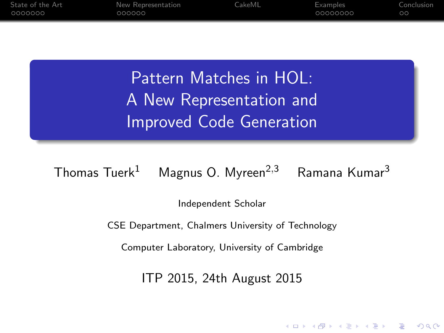| State of the Art<br>0000000 | New Representation<br>000000 | CakeML | Examples<br>00000000 | Conclusion<br>$\circ$ |
|-----------------------------|------------------------------|--------|----------------------|-----------------------|
|                             |                              |        |                      |                       |
|                             |                              |        |                      |                       |
|                             |                              |        |                      |                       |

Pattern Matches in HOL: A New Representation and Improved Code Generation

Thomas Tuerk<sup>1</sup> Magnus O. Myreen<sup>2,3</sup> Ramana Kumar<sup>3</sup>

Independent Scholar

CSE Department, Chalmers University of Technology

Computer Laboratory, University of Cambridge

ITP 2015, 24th August 2015

**KORK ERKER ADE YOUR**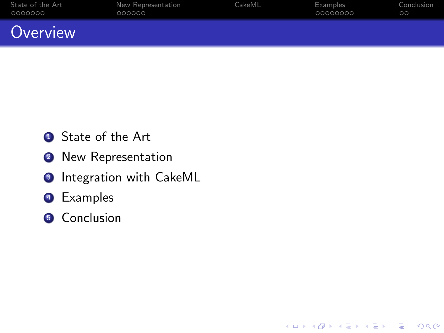| State of the Art | New Representation | CakeML | Examples | Conclusion |
|------------------|--------------------|--------|----------|------------|
| 0000000          | 000000             |        | 00000000 | $\circ$    |
| Overview         |                    |        |          |            |

K ロ ▶ K @ ▶ K 할 > K 할 > 1 할 > 1 ⊙ Q Q ^

- **1** State of the Art
- <sup>2</sup> New Representation
- **3** Integration with CakeML
- <sup>4</sup> Examples
- **6** Conclusion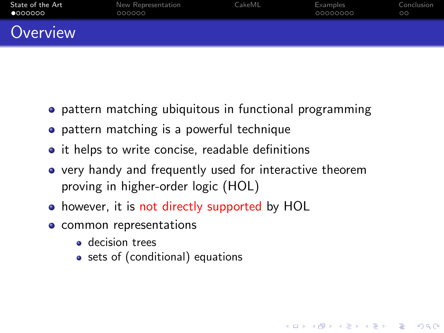| State of the Art | New Representation | CakeML | Examples | Conclusion |
|------------------|--------------------|--------|----------|------------|
| •000000          | 000000             |        | 00000000 | ററ         |
| Overview         |                    |        |          |            |

- **•** pattern matching ubiquitous in functional programming
- **•** pattern matching is a powerful technique
- it helps to write concise, readable definitions
- very handy and frequently used for interactive theorem proving in higher-order logic (HOL)

**KORK ERKER ADE YOUR** 

- however, it is not directly supported by HOL
- <span id="page-2-0"></span>• common representations
	- **a** decision trees
	- sets of (conditional) equations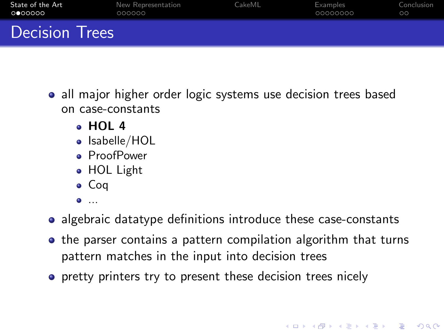| State of the Art      | New Representation | CakeML | Examples | Conclusion |
|-----------------------|--------------------|--------|----------|------------|
| 0000000               | 000000             |        | 00000000 | ററ         |
| <b>Decision Trees</b> |                    |        |          |            |

- all major higher order logic systems use decision trees based on case-constants
	- HOL 4
	- Isabelle/HOL
	- **•** ProofPower
	- HOL Light
	- Coq
	- $\bullet$  ...
- algebraic datatype definitions introduce these case-constants
- the parser contains a pattern compilation algorithm that turns pattern matches in the input into decision trees

**KORK ERKER ADE YOUR** 

**•** pretty printers try to present these decision trees nicely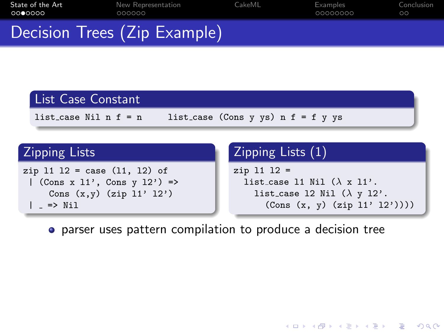| State of the Art | New Representation           | CakeML | Examples | Conclusion |
|------------------|------------------------------|--------|----------|------------|
| ററ⊜ററററ          | 000000                       |        | 00000000 | ററ         |
|                  | Decision Trees (Zip Example) |        |          |            |

### List Case Constant

list\_case Nil  $n f = n$  list\_case (Cons y ys)  $n f = f y y s$ 

### **Zipping Lists**

```
zip 11 12 = case (11, 12) of| (Cons x 11', Cons y 12') =>
    Cons (x,y) (zip 11' 12')| => Nil
```
### Zipping Lists (1)

```
zip l1 l2 =
  list_case 11 Nil (\lambda \times 11)'.
     list_case 12 Nil (\lambda \, y \, 12)'.
        (Cons (x, y) (zip l1' l2'))))
```
**KORK ERKER ER AGA** 

parser uses pattern compilation to produce a decision tree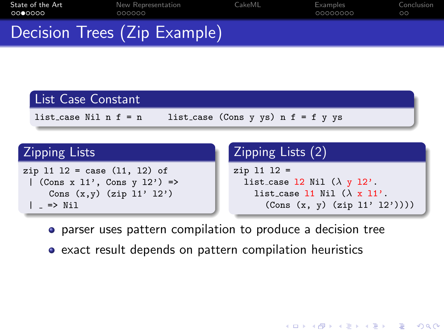| State of the Art | New Representation           | CakeML | Examples | Conclusion |
|------------------|------------------------------|--------|----------|------------|
| ററ⊜ററററ          | 000000                       |        | 00000000 | ററ         |
|                  | Decision Trees (Zip Example) |        |          |            |

### List Case Constant

list\_case Nil  $n f = n$  list\_case (Cons y ys)  $n f = f y y s$ 

### Zipping Lists

```
zip 11 12 = case (11, 12) of| (Cons x 11', Cons y 12') =>
     Cons (x,y) (zip 11' 12'))
 | => Nil
```
### Zipping Lists (2)

```
zip l1 l2 =
  list case 12 Nil (\lambda \, \text{y} \, 12).
     list case 11 Nil (\lambda \times 11).
        (Cons (x, y) (zip l1' l2'))))
```
**KORK STRAIN A BAR SHOP** 

- parser uses pattern compilation to produce a decision tree
- exact result depends on pattern compilation heuristics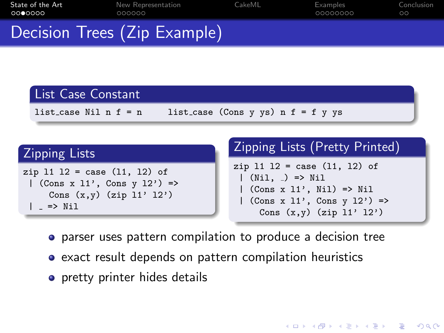| State of the Art | New Representation           | CakeML | Examples | Conclusion |
|------------------|------------------------------|--------|----------|------------|
| ററ⊜ററററ          | 000000                       |        | 00000000 | ററ         |
|                  | Decision Trees (Zip Example) |        |          |            |

### List Case Constant

list\_case Nil  $n f = n$  list\_case (Cons y ys)  $n f = f y y s$ 

### Zipping Lists

| $zip 11 12 = case (11, 12) of$  |  |  |  |  |  |
|---------------------------------|--|--|--|--|--|
| $ $ (Cons x 11', Cons y 12') => |  |  |  |  |  |
| Cons $(x,y)$ (zip 11' 12')      |  |  |  |  |  |
| $\vert$ $\vert$ => Nil          |  |  |  |  |  |

### Zipping Lists (Pretty Printed)

 $zip 11 12 = case (11, 12) of$  $|$  (Nil,  $|$ ) => Nil | (Cons x l1', Nil) => Nil  $($ Cons x 11', Cons y 12') => Cons  $(x,y)$  (zip  $11'$   $12')$ 

**KORK ERKER ADE YOUR** 

- parser uses pattern compilation to produce a decision tree
- exact result depends on pattern compilation heuristics
- pretty printer hides details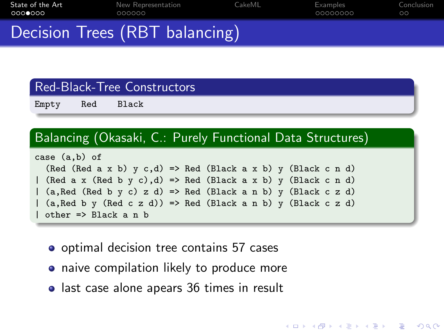| State of the Art | New Representation             | CakeML | Examples | Conclusion |
|------------------|--------------------------------|--------|----------|------------|
| 0000000          | 000000                         |        | 00000000 | ററ         |
|                  | Decision Trees (RBT balancing) |        |          |            |

### Red-Black-Tree Constructors

Empty Red Black

### Balancing (Okasaki, C.: Purely Functional Data Structures)

| case (a,b) of                                                         |  |  |  |  |  |  |
|-----------------------------------------------------------------------|--|--|--|--|--|--|
| (Red (Red a x b) $y c,d$ ) => Red (Black a x b) $y$ (Black c n d)     |  |  |  |  |  |  |
| (Red a x (Red b y c),d) => Red (Black a x b) y (Black c n d)          |  |  |  |  |  |  |
| (a, Red (Red b y c) z d) => Red (Black a n b) y (Black c z d)         |  |  |  |  |  |  |
| $\vert$ (a, Red b y (Red c z d)) => Red (Black a n b) y (Black c z d) |  |  |  |  |  |  |
| other => Black a n b                                                  |  |  |  |  |  |  |

K ロ ▶ K @ ▶ K 할 ▶ K 할 ▶ 이 할 → 9 Q @

- optimal decision tree contains 57 cases
- **•** naive compilation likely to produce more
- last case alone apears 36 times in result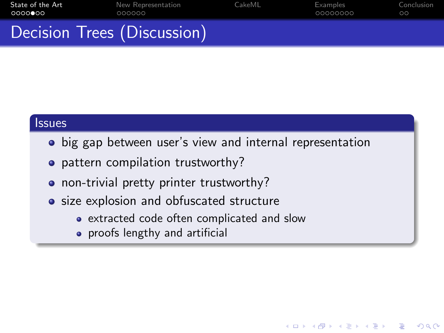| State of the Art            | New Representation | CakeML | Examples | Conclusion |
|-----------------------------|--------------------|--------|----------|------------|
| ററററൈറെ                     | 000000             |        | 00000000 | $\circ$    |
| Decision Trees (Discussion) |                    |        |          |            |

### **Issues**

• big gap between user's view and internal representation

**KOD KAR KED KED E YORA** 

- pattern compilation trustworthy?
- non-trivial pretty printer trustworthy?
- size explosion and obfuscated structure
	- extracted code often complicated and slow
	- **•** proofs lengthy and artificial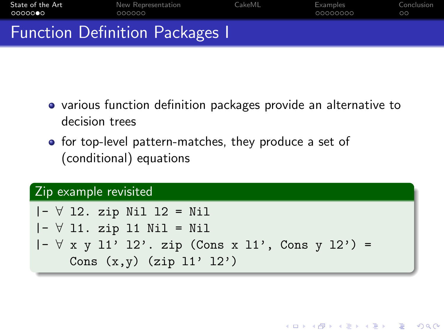| State of the Art | New Representation                    | CakeML | Examples | Conclusion |
|------------------|---------------------------------------|--------|----------|------------|
| 00000●0          | 000000                                |        | 00000000 | ററ         |
|                  | <b>Function Definition Packages I</b> |        |          |            |

- various function definition packages provide an alternative to decision trees
- for top-level pattern-matches, they produce a set of (conditional) equations

### Zip example revisited

|  |  |  | $ - \forall$ 12. zip Nil 12 = Nil                        |  |
|--|--|--|----------------------------------------------------------|--|
|  |  |  | $ - \forall$ 11. zip 11 Nil = Nil                        |  |
|  |  |  | $ - \forall$ x y 11' 12'. zip (Cons x 11', Cons y 12') = |  |
|  |  |  | Cons $(x,y)$ (zip $11'$ $12')$ )                         |  |

**KORK ERKER ADE YOUR**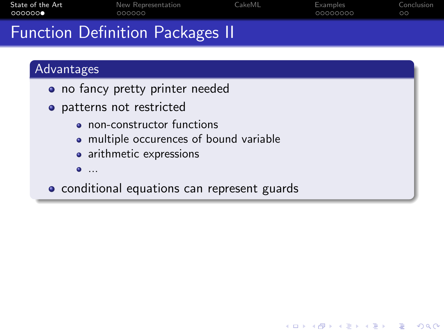| State of the Art | New Representation                     | CakeML | Examples | Conclusion |
|------------------|----------------------------------------|--------|----------|------------|
| െറെറ <b>െ</b>    | 000000                                 |        | 00000000 | ററ         |
|                  | <b>Function Definition Packages II</b> |        |          |            |

### Advantages

- no fancy pretty printer needed
- patterns not restricted
	- non-constructor functions
	- multiple occurences of bound variable
	- arithmetic expressions
	- ...
- conditional equations can represent guards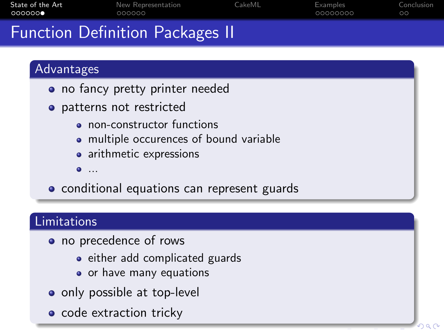| State of the Art | New Representation                     | CakeML | Examples | Conclusion |
|------------------|----------------------------------------|--------|----------|------------|
| 000000●          | 000000                                 |        | 00000000 | ററ         |
|                  | <b>Function Definition Packages II</b> |        |          |            |

### Advantages

- no fancy pretty printer needed
- patterns not restricted
	- non-constructor functions
	- multiple occurences of bound variable
	- arithmetic expressions
	- ...
- conditional equations can represent guards

### Limitations

- no precedence of rows
	- either add complicated guards
	- o or have many equations
- only possible at top-level
- code extraction tricky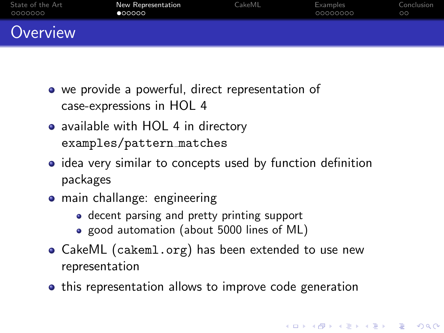| State of the Art | New Representation | CakeML | Examples | Conclusion |
|------------------|--------------------|--------|----------|------------|
| 0000000          | •00000             |        | 00000000 | $\circ$    |
| Overview         |                    |        |          |            |

- we provide a powerful, direct representation of case-expressions in HOL 4
- available with HOL 4 in directory examples/pattern matches
- idea very similar to concepts used by function definition packages
- main challange: engineering
	- decent parsing and pretty printing support
	- good automation (about 5000 lines of ML)
- CakeML (cakeml.org) has been extended to use new representation
- <span id="page-12-0"></span>• this representation allows to improve code generation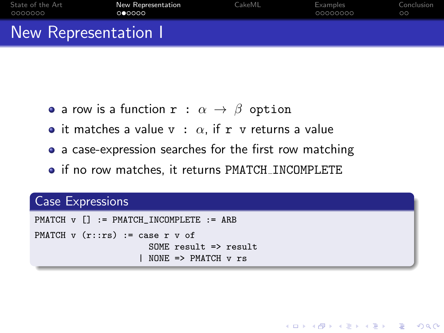| State of the Art   | <b>New Representation</b> | CakeML | Examples | Conclusion |
|--------------------|---------------------------|--------|----------|------------|
| - 0000000          | 000000                    |        | 00000000 | ററ         |
| New Representation |                           |        |          |            |

- a row is a function  $\mathbf{r} : \alpha \to \beta$  option
- it matches a value  $v : \alpha$ , if r v returns a value
- a case-expression searches for the first row matching

**KORK ERKER ADE YOUR** 

• if no row matches, it returns PMATCH\_INCOMPLETE

### Case Expressions

```
PMATCH v [] := PMATCH_INCOMPLETE := ARB
PMATCH v (r::rs) := case r v of
                         SOME result => result
                        NONE \Rightarrow PMATCH \text{v} rs
```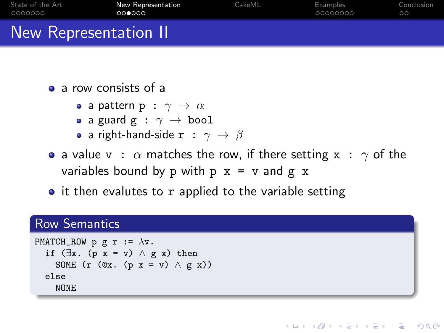| State of the Art      | New Representation | CakeML | Examples | Conclusion |  |
|-----------------------|--------------------|--------|----------|------------|--|
| - 0000000             | 000000             |        | 00000000 | ററ         |  |
| New Representation II |                    |        |          |            |  |

• a row consists of a

- a pattern  $p : \gamma \rightarrow \alpha$
- a guard g :  $\gamma \rightarrow$  bool
- a right-hand-side  $\mathbf{r}$  :  $\gamma \rightarrow \beta$
- a value  $v : \alpha$  matches the row, if there setting  $x : \gamma$  of the variables bound by p with  $p \times = v$  and  $g \times$

**KORK STRAIN A BAR SHOP** 

 $\bullet$  it then evalutes to r applied to the variable setting

### Row Semantics

```
PMATCH_ROW p g r := \lambda v.
  if (\exists x. (p \ x = v) \land g \ x) then
     SOME (r (\mathbb{Q}_X, (\mathbb{p} x = v) \wedge g x))
  else
     NONE
```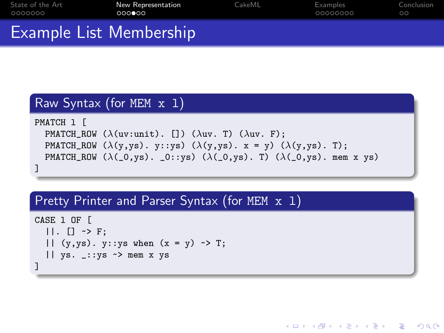| State of the Art        | New Representation | CakeML | Examples | Conclusion |
|-------------------------|--------------------|--------|----------|------------|
| 0000000                 | 000000             |        | 00000000 | ററ         |
| Example List Membership |                    |        |          |            |

### Raw Syntax (for MEM x l)

```
PMATCH l [
  PMATCH_ROW (\lambda(uv:unit). []) (\lambda uv. T) (\lambda uv. F);
  PMATCH_ROW (\lambda(y, ys), y::ys) (\lambda(y, ys), x = y) (\lambda(y, ys), T);PMATCH_ROW (\lambda(\_0, \text{ys}). \_0::\text{ys}) (\lambda(\_0, \text{ys}). T) (\lambda(\_0, \text{ys}). mem x ys)
]
```
**KORK STRAIN A BAR SHOP** 

### Pretty Printer and Parser Syntax (for MEM x 1)

```
CASE 1 OF L
         | | | | \rightarrow | | | \rightarrow | | | \rightarrow | | \rightarrow | | \rightarrow | \rightarrow | \rightarrow | \rightarrow | \rightarrow | \rightarrow | \rightarrow | \rightarrow | \rightarrow | \rightarrow | \rightarrow | \rightarrow | \rightarrow | \rightarrow | \rightarrow | \rightarrow | || (y, ys). y:: ys when (x = y) \rightarrow T;
         || ys. _::ys ~> mem x ys
 ]
```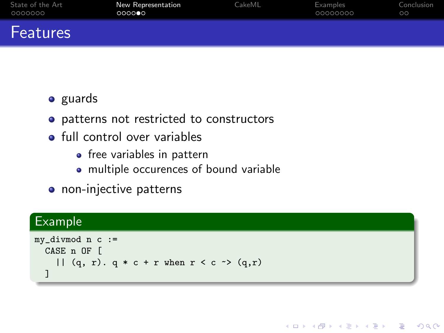| State of the Art | <b>New Representation</b> | CakeML | Examples | Conclusion |
|------------------|---------------------------|--------|----------|------------|
| 0000000          | 0000                      |        | 00000000 | ററ         |
| Features         |                           |        |          |            |

### • guards

- patterns not restricted to constructors
- **o** full control over variables
	- free variables in pattern
	- multiple occurences of bound variable
- non-injective patterns

### Example

```
my_divmod n c :=
  CASE n OF [
    | (q, r). q * c + r when r < c \rightarrow (q, r)]
```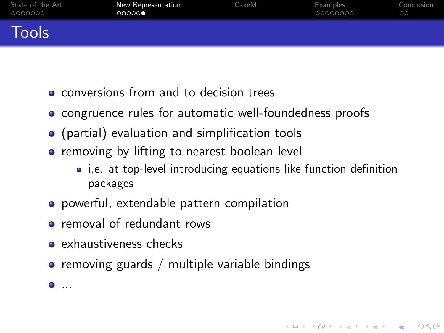| State of the Art | New Representation | <b>CakeML</b> | Examples | Conclusion |
|------------------|--------------------|---------------|----------|------------|
| 0000000          | 00000              |               | 00000000 | ററ         |
| Tools            |                    |               |          |            |

- **e** conversions from and to decision trees
- congruence rules for automatic well-foundedness proofs
- (partial) evaluation and simplification tools
- **•** removing by lifting to nearest boolean level
	- i.e. at top-level introducing equations like function definition packages

**KORK ERKER ADE YOUR** 

- powerful, extendable pattern compilation
- **•** removal of redundant rows
- **e** exhaustiveness checks

 $\bullet$  ...

 $\bullet$  removing guards / multiple variable bindings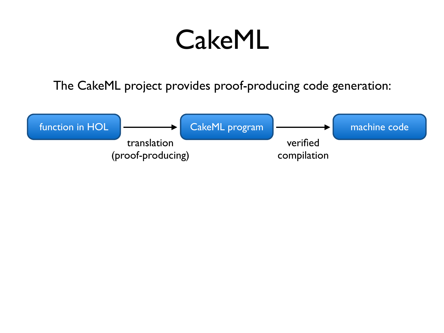### **CakeML**

The CakeML project provides proof-producing code generation:

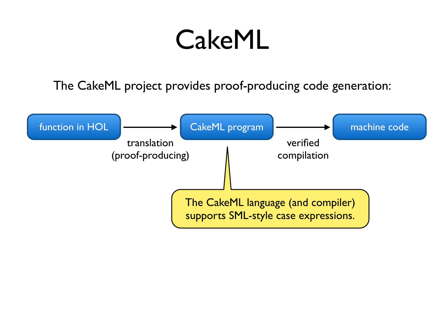### **CakeML**

The CakeML project provides proof-producing code generation:

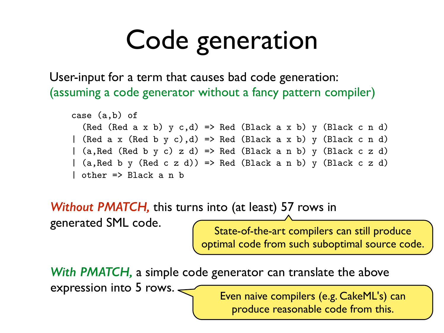### Code generation Real World Example The following case expression is taken from Okasaki's

User-input for a term that causes bad code generation: (assuming a code generator without a fancy pattern compiler)

```
case (a,b) of
  (Red (Red a x b) y c,d) => Red (Black a x b) y (Black c n d)
| (Red a x (Red b y c),d) => Red (Black a x b) y (Black c n d)
| (a,Red (Red b y c) z d) => Red (Black a n b) y (Black c z d)
| (a,Red b y (Red c z d)) => Red (Black a n b) y (Black c z d)
| other => Black a n b
```
*Without PMATCH,* this turns into (at least) 57 rows in  $P_{\text{rel}}$  this term with the compilation settings in HOL4 results in HOL4 results in HOL4 results in HOL4 results in HOL4 results in HOL4 results in HOL4 results in HOL4 results in HOL4 results in HOL4 results in HOL4 res **ILHOUL FIVIATUM, LITTS LUITTS INTO (AL TEASL) DITTOWS IN** 

generated SML code.

 $\epsilon$  inerated SML code.  $\epsilon$  term of the extraording can still syndical  $\epsilon$  $h_{\text{in}}$  state-of-the-are compliers can still produce (Spennar code n'om such subopen State-of-the-art compilers can still produce optimal code from such suboptimal source code.

 $\mathbf{D}\mathbf{A}\mathbf{A}\mathbf{T}\mathbf{C}\mathbf{I}\mathbf{I}$  is intrinsic to the classical approach. Our pattern match heuris- $\frac{1}{2}$  a simple code generator can translate the above  $\text{Lipression}$  into 5 rows.  $\leftarrow$  then pairs compilers (e.g. Cake MI's) can *With PMATCH,* a simple code generator can translate the above expression into 5 rows. <u>Sand Theory Even naive compilers</u> (e.g. CakeML's) can

 $s_{\text{reduced}}(x, y, z)$  and  $z_{\text{reduced}}(x, y, z)$  and  $z_{\text{reduced}}(x, y, z)$  and  $z_{\text{recon}}(x, y, z)$  and  $z_{\text{recon}}(x, y, z)$ produce reasonable code in produce reasonable code from this.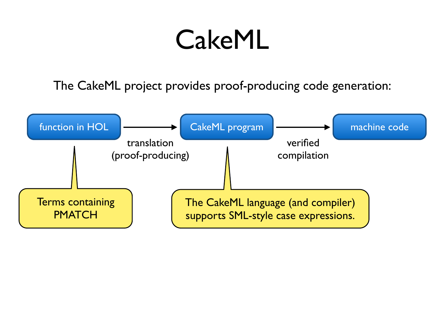### CakeML

The CakeML project provides proof-producing code generation:

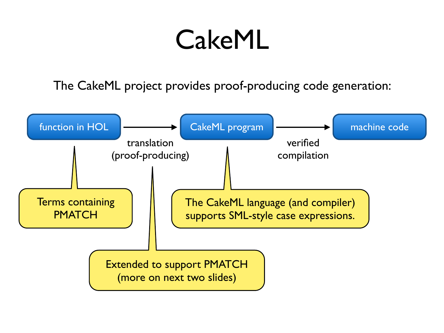### CakeML

The CakeML project provides proof-producing code generation:

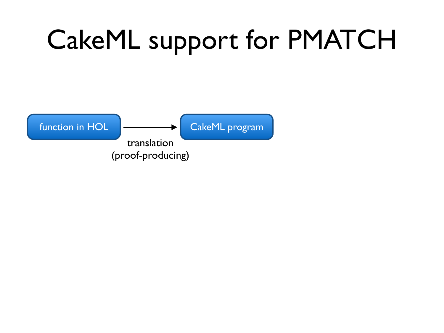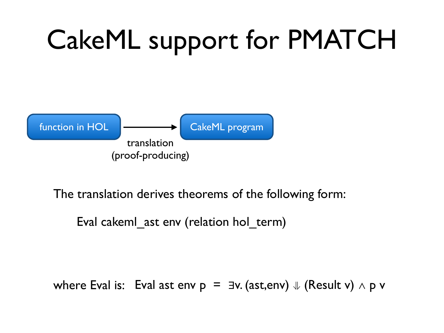

The translation derives theorems of the following form:

Eval cakeml ast env (relation hol term)

where Eval is: Eval ast env  $p = \exists v$ . (ast, env)  $\Downarrow$  (Result v)  $\wedge$  p v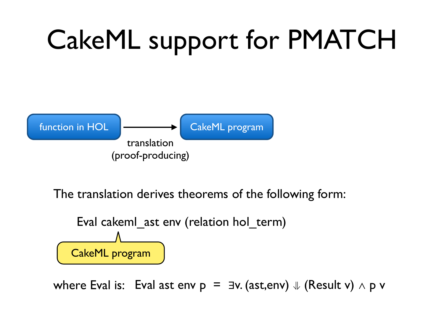

The translation derives theorems of the following form:



where Eval is: Eval ast env p = ∃v. (ast,env) **⇓** (Result v) ∧ p v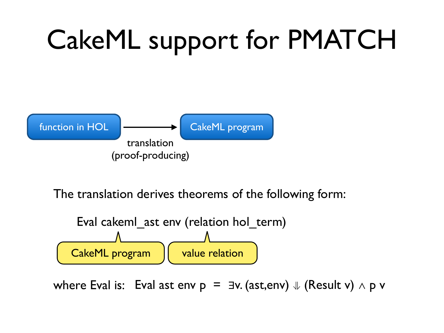

The translation derives theorems of the following form:



where Eval is: Eval ast env p = ∃v. (ast,env) **⇓** (Result v) ∧ p v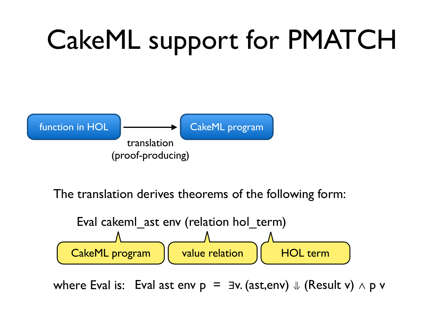

The translation derives theorems of the following form:



where Eval is: Eval ast env p = ∃v. (ast,env) **⇓** (Result v) ∧ p v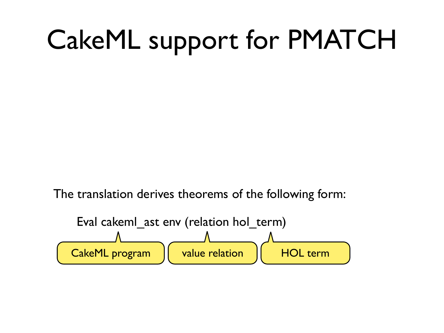The translation derives theorems of the following form:

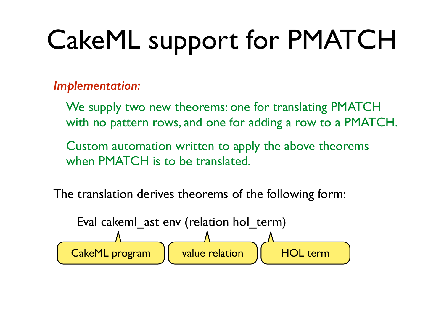*Implementation:*

We supply two new theorems: one for translating PMATCH with no pattern rows, and one for adding a row to a PMATCH.

Custom automation written to apply the above theorems when PMATCH is to be translated.

The translation derives theorems of the following form:

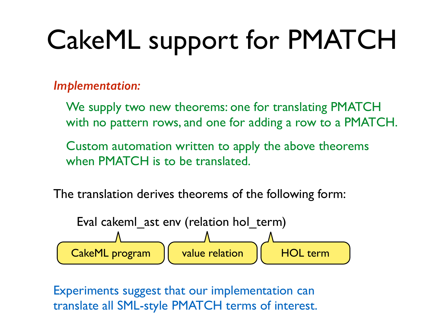### *Implementation:*

- We supply two new theorems: one for translating PMATCH with no pattern rows, and one for adding a row to a PMATCH.
- Custom automation written to apply the above theorems when PMATCH is to be translated.
- The translation derives theorems of the following form:



Experiments suggest that our implementation can translate all SML-style PMATCH terms of interest.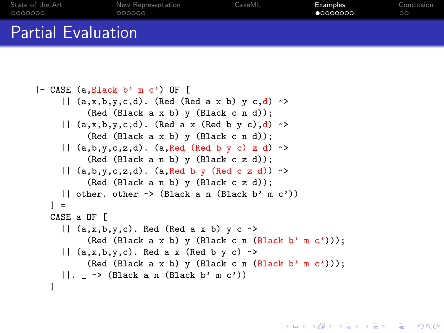| State of the Art          | New Representation | CakeML | Examples  | Conclusion |
|---------------------------|--------------------|--------|-----------|------------|
| 0000000                   | 000000             |        | •00000000 | $\circ$    |
| <b>Partial Evaluation</b> |                    |        |           |            |

```
|- CASE (a,Black b' m c') OF [
    || (a, x, b, y, c, d)~>
         (Red (Black a x b) y (Black c n d));
    || (a, x, b, y, c, d)~>
         (Red (Black a x b) y (Black c n d));
    | (a,b,y,c,z,d). (a,Red (Red b y c) z d) \rightarrow(Red (Black a n b) y (Black c z d));
    || (a,b,y,c,z,d). (a,Red b y (Red c z d))~>
         (Red (Black a n b) y (Black c z d));
    || other. other ~> (Black a n (Black b' m c'))
  1 =CASE a OF [
    || (a,x,b,y,c). Red (Red a x b) y c \sim(Red (Black a x b) y (Black c n (Black b' m c')));
    || (a, x, b, y, c). Red a x (Red b y c) \rightarrow(Red (Black a x b) y (Black c n (Black b' m c')));
    | \cdot |~> (Black a n (Black b' m c'))
  ]
```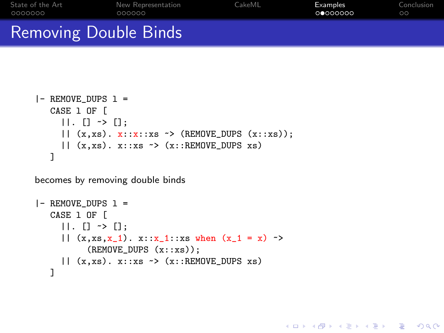| State of the Art             | New Representation | CakeML | Examples | Conclusion |
|------------------------------|--------------------|--------|----------|------------|
| 0000000                      | 000000             |        | 00000000 | $\circ$    |
| <b>Removing Double Binds</b> |                    |        |          |            |

```
|- REMOVE DUPS 1 =CASE l OF [
     ||. [] \rightarrow [];|\mid (x,xs). x::x::xs \rightarrow (REMOVE_DUPS (x::xs));|| (x,xs). x::xs \rightarrow (x::RE MOWE_DUPS xs)]
```
becomes by removing double binds

```
|- REMOVE DUPS 1 =CASE l OF [
     ||. [] \rightarrow [];
     |\int (x,xs,x_1) \cdot x::x_1::xs when (x_1 = x)~>
           (REMOVE_DUPS (x::xs));
     || (x,xs). x::xs \rightarrow (x::RE MOWE_DUPS xs)]
```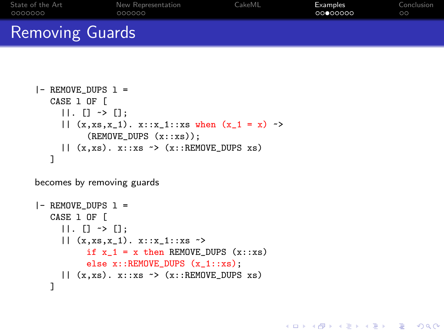| State of the Art       | New Representation | CakeML | Examples | Conclusion |
|------------------------|--------------------|--------|----------|------------|
| 0000000                | 000000             |        | 00000000 | ററ         |
| <b>Removing Guards</b> |                    |        |          |            |

```
|- REMOVE DUPS 1 =CASE l OF [
     ||. || \rightarrow ||;
     || (x, xs, x_1) . x::x_1::xs when (x_1 = x)~>
           (REMOVE_DUPS (x::xs));
     || (x,xs). x::xs \rightarrow (x::RE MOWE_DUPS xs)]
```
becomes by removing guards

```
|- REMOVE DUPS 1 =CASE l OF [
     ||. [] \rightarrow [];|| (x, xs, x_1). x::x_1::xs \rightarrowif x_1 = x then REMOVE_DUPS (x::xs)else x::REMOVE_DUPS (x_1::xs);
     || (x,xs). x::xs \rightarrow (x::RE MOWE_DUPS xs)]
```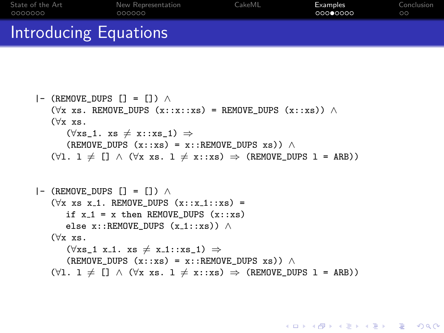| State of the Art      | New Representation | CakeML | Examples | Conclusion |
|-----------------------|--------------------|--------|----------|------------|
| 0000000               | 000000             |        | 00000000 | $\circ$    |
| Introducing Equations |                    |        |          |            |

```
|- (REMOVE DUPS [] = []) \wedge(\forall x \ xs. REMOVE DUPS (x::x::xs) = REMOVE DUPS (x::xs)) ∧
   (∀x xs.
       (\forall x s_1. x s \neq x::xs_1) \Rightarrow(REMOVE DUPS (x::xs) = x::RE MOWE DUPS xs)) ∧
   (\forall 1. 1 \neq [] \land (\forall x \ xs. 1 \neq x::xs) \Rightarrow (REMOVE_DUPS 1 = ARB))|- (REMOVE DUPS [] = [] \wedge(\forall x \ x s \ x_1. REMOVE DUPS (x::x_1::xs) =
       if x_1 = x then REMOVE DUPS (x::xs)else x::REMOVE_DUPS (x_1::xs)) \wedge(∀x xs.
       (\forall x s \; 1 \; x_1. \; xs \neq x_1::xs \; 1) \Rightarrow(REMOVE_DUPS (x::xs) = x::REMOVE_DUPS xs) ∧
```
 $(\forall 1. 1 \neq [] \land (\forall x \ xs. 1 \neq x::xs) \Rightarrow (REMOVE_DUPS 1 = ARB))$ 

**KORK STRAIN A BAR SHOP**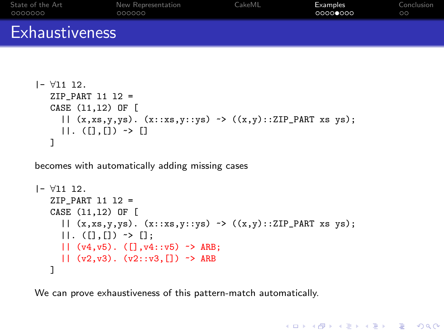| State of the Art      | New Representation | CakeML | Examples | Conclusion |
|-----------------------|--------------------|--------|----------|------------|
| _0000000              | 000000             |        | 00000000 | $\circ$    |
| <b>Exhaustiveness</b> |                    |        |          |            |

```
|- ∀l1 l2.
  ZIP PART 11 12 =CASE (l1,l2) OF [
     || (x, xs, y, ys). (x::xs, y::ys) \rightarrow ((x, y):ZIP\_PART xs ys);||.~> []
   ]
```
becomes with automatically adding missing cases

```
|- ∀l1 l2.
   ZIP PART 11 12 =CASE (l1,l2) OF [
     |\mid (x, xs, y, ys). (x::xs, y::ys) \rightarrow ((x, y):ZIP\_PART xs ys);
     ||.~> [];
     || (v4,v5) . ([] , v4::v5) \rightarrow ARB;| (v2, v3). (v2::v3, [] \rightarrow ARB
   ]
```
**KOD KAP KED KED E VOQO** 

We can prove exhaustiveness of this pattern-match automatically.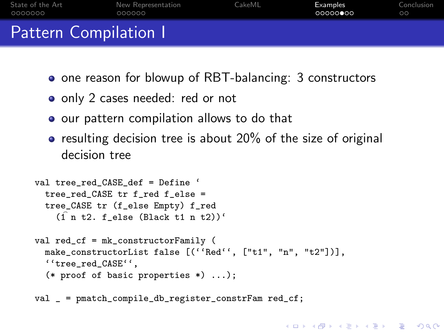| State of the Art             | New Representation | CakeML | Examples | Conclusion |
|------------------------------|--------------------|--------|----------|------------|
| - 0000000                    | 000000             |        | 00000    | ററ         |
| <b>Pattern Compilation I</b> |                    |        |          |            |

- one reason for blowup of RBT-balancing: 3 constructors
- only 2 cases needed: red or not
- o our pattern compilation allows to do that
- $\bullet$  resulting decision tree is about 20% of the size of original decision tree

**KORK ERKER ADE YOUR** 

```
val tree red CASE def = Define '
  tree_red_CASE tr f_red f_else =
  tree_CASE tr (f_else Empty) f_red
    (\hat{1} n t2. f else (Black t1 n t2))'
val red_cf = mk_constructorFamily (
  make_constructorList false [(''Red'', ["t1", "n", "t2"])],
  ''tree_red_CASE'',
  (* proof of basic properties *) ...);
val _ = pmatch_compile_db_register_constrFam red_cf;
```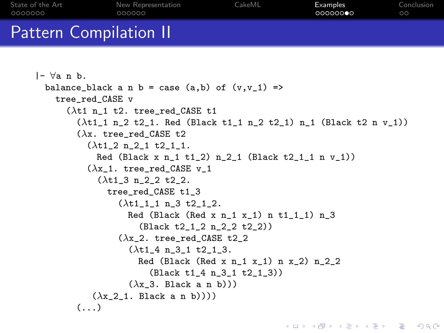| State of the Art              | New Representation | CakeML | Examples | Conclusion |
|-------------------------------|--------------------|--------|----------|------------|
| - 0000000                     | 000000             |        | 00000000 | ററ         |
| <b>Pattern Compilation II</b> |                    |        |          |            |

```
|- ∀a n b.
  balance_black a n b = case (a,b) of (v, v_1) =>
    tree red CASE v
       (\lambdat1 n 1 t2. tree red CASE t1
         (\lambda t1_1 n_2 t2_1. Red (Black t1_1 n_2 t2_1) n_1 (Black t2 n v_1))
         (\lambdax. tree red CASE t2
           (\lambda t1 2 n 2 1 t2 1 1.Red (Black x n 1 t1 2) n 2 1 (Black t2 1 1 n v 1))
           (\lambdax 1. tree red CASE v 1
              (\lambda t1_3 n_22 t2_1)tree_red_CASE t1_3
                  (\lambda t111 n3 t2 12.Red (Black (Red x n_1 x_1) n t1_1<sub>1</sub>) n_3(Black t2_1_2 n_2_2 t2_2))
                  (\lambdax 2. tree red CASE t2 2
                     (\lambda t14 n31 t213.Red (Black (Red x n 1 x 1) n x 2) n 2 2
                         (Black t1_4 n_3_1 t2_1_3))
                     (\lambda x \; 3. Black a n b)))
            (\lambda x \t2 \t1. Black a n b))))
         \left( \ldots \right)
```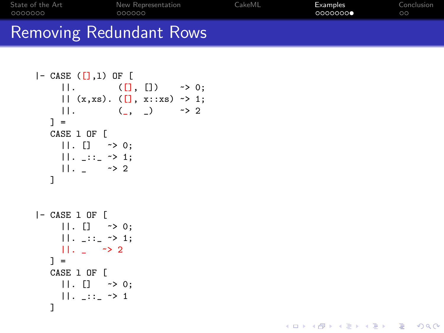| State of the Art               | New Representation | CakeML | Examples | Conclusion |
|--------------------------------|--------------------|--------|----------|------------|
| 0000000                        | 000000             |        | 0000000  | ററ         |
| <b>Removing Redundant Rows</b> |                    |        |          |            |

K ロ > K @ > K 할 > K 할 > → 할 → ⊙ Q @

```
|- CASE ([],1) OF [
    ||.~> 0;
    || (x,xs) . (1, x::xs) \rightarrow 1;||.~> 2
  ] =CASE l OF [
    ||. [] \rightarrow 0;
    ||. _::_ ~> 1;
    ||. - \rightarrow 2]
|- CASE l OF [
  | | . | [ ] \rightarrow 0;
    ||. _::_ ~> 1;
    ||. - \rightarrow 2] =CASE l OF [
   ||. [] \rightarrow 0;
    ||. _::_ ~> 1
  ]
```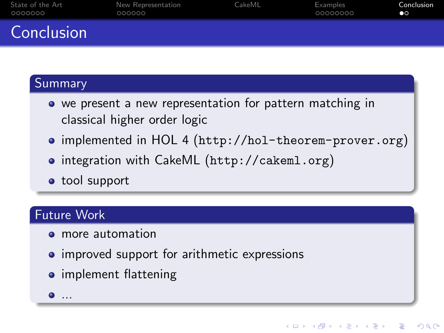| State of the Art | New Representation | CakeML | Examples | Conclusion |
|------------------|--------------------|--------|----------|------------|
| 0000000          | 000000             |        | 00000000 | ൈ          |
| Conclusion       |                    |        |          |            |

### Summary

- we present a new representation for pattern matching in classical higher order logic
- implemented in HOL 4 (<http://hol-theorem-prover.org>)

**KOD KAR KED KED E YORA** 

- integration with CakeML (<http://cakeml.org>)
- **•** tool support

### Future Work

- **•** more automation
- improved support for arithmetic expressions
- **•** implement flattening
- <span id="page-39-0"></span> $\bullet$  ...